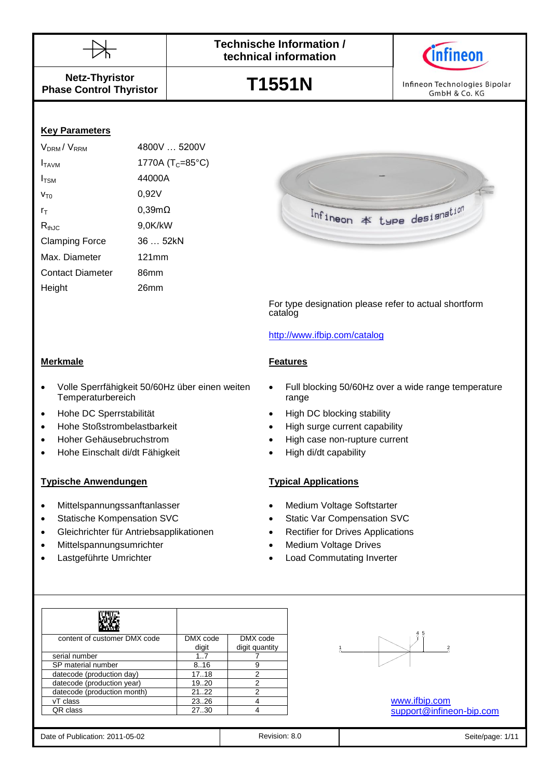



**Netz-Thyristor Phase Control Thyristor**

**T1551N**

Infineon Technologies Bipolar GmbH & Co. KG

# **Key Parameters**

| V <sub>DRM</sub> /V <sub>RRM</sub> | 4800V  5200V                 |
|------------------------------------|------------------------------|
| I <sub>TAVM</sub>                  | 1770A (T <sub>C</sub> =85°C) |
| I <sub>TSM</sub>                   | 44000A                       |
| V <sub>T0</sub>                    | 0,92V                        |
| ľт                                 | $0,39m\Omega$                |
| $R_{thJC}$                         | 9,0K/kW                      |
| <b>Clamping Force</b>              | 36  52kN                     |
| Max. Diameter                      | 121mm                        |
| <b>Contact Diameter</b>            | 86mm                         |
| Height                             | 26mm                         |
|                                    |                              |



- Volle Sperrfähigkeit 50/60Hz über einen weiten **Temperaturbereich**
- 
- Hohe Stoßstrombelastbarkeit High surge current capability
- 
- Hohe Einschalt di/dt Fähigkeit High di/dt capability

# **Typische Anwendungen Typical Applications**

- Mittelspannungssanftanlasser Medium Voltage Softstarter
- 
- Gleichrichter für Antriebsapplikationen Rectifier for Drives Applications
- Mittelspannungsumrichter **Mittelspannungsumrichter Medium Voltage Drives**
- 

 Full blocking 50/60Hz over a wide range temperature range

For type designation please refer to actual shortform

Infineon \* type designation

• Hohe DC Sperrstabilität **and Containers** High DC blocking stability

<http://www.ifbip.com/catalog>

- 
- Hoher Gehäusebruchstrom High case non-rupture current
	-

- 
- Statische Kompensation SVC Static Var Compensation SVC
	-
	-
- Lastgeführte Umrichter **Load Commutating Inverter •** Load Commutating Inverter

| content of customer DMX code | DMX code | DMX code       |
|------------------------------|----------|----------------|
|                              | digit    | digit quantity |
| serial number                | 17       |                |
| SP material number           | 8.16     | 9              |
| datecode (production day)    | 17.18    | 2              |
| datecode (production year)   | 19.20    | 2              |
| datecode (production month)  | 21.22    | 2              |
| vT class                     | 2326     |                |
| QR class                     | 27.30    |                |



## [www.ifbip.com](http://www.ifbip.com/) [support@infineon-bip.com](mailto:support@infineon-bip.com)

|  | Date of Publication: 2011-05-02 |
|--|---------------------------------|
|  |                                 |

Revision: 8.0 **Date of Publication: 2012** Seite/page: 1/11

catalog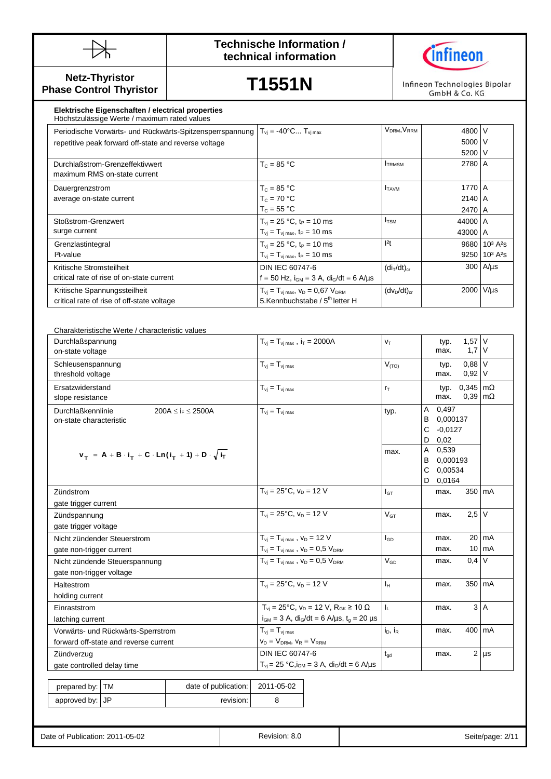



**Netz-Thyristor Phase Control Thyristor**

**T1551N**

Infineon Technologies Bipolar GmbH & Co. KG

> 5000 5200

2140 A 2470 A

43000 A

V V V

A

### Periodische Vorwarts- und Ruckwarts-Spitzensperrspannung  $\begin{bmatrix} 1_{\text{vj}} = -40 & \dots & 1_{\text{vj} \max} \\ 1_{\text{v}j} = -40 & \dots & 1_{\text{v}j \max} \end{bmatrix}$ **Elektrische Eigenschaften / electrical properties** Höchstzulässige Werte / maximum rated values Periodische Vorwärts- und Rückwärts-Spitzensperrspannung  $T_{\text{vj}} = -40^{\circ}\text{C...} T_{\text{vj}}$  max  $V_{\text{DRM}}$ ,  $V_{\text{RRM}}$  4800 Durchlaßstrom-Grenzeffektivwert maximum RMS on-state current  $T_c = 85 \text{ °C}$   $1_{TRMSM}$  2780 A Dauergrenzstrom average on-state current  $T_c = 85 °C$  $T_c = 70 °C$  $T_c = 55 °C$  $I_{TAVM}$  1770 Stoßstrom-Grenzwert surge current  $T_{vi} = 25 °C$ , t<sub>P</sub> = 10 ms  $T_{vj} = T_{vj \max}, t_P = 10 \text{ ms}$  $I_{\text{TSM}}$  44000 A Grenzlastintegral I²t-value  $T_{vi} = 25 °C$ , t<sub>P</sub> = 10 ms  $T_{\rm vj} = T_{\rm vj \, max}$ , t<sub>P</sub> = 10 ms  $I<sup>2</sup>t$  9680 | 10<sup>3</sup> A<sup>2</sup>s

| $l^2t$ -value                              | $T_{vi} = T_{vj \, max}$ , t <sub>P</sub> = 10 ms                   |                                     | $9250$ 10 <sup>3</sup> A <sup>2</sup> s |
|--------------------------------------------|---------------------------------------------------------------------|-------------------------------------|-----------------------------------------|
| Kritische Stromsteilheit                   | <b>DIN IEC 60747-6</b>                                              | (di <sub>T</sub> /dt) <sub>cr</sub> | $300$ $A/µs$                            |
| critical rate of rise of on-state current  | $f = 50$ Hz, $i_{GM} = 3$ A, $di_G/dt = 6$ A/us                     |                                     |                                         |
| Kritische Spannungssteilheit               | $T_{\rm vj} = T_{\rm vj \, max}$ , $V_{\rm D} = 0.67$ $V_{\rm DRM}$ | $(dv_D/dt)_{cr}$                    | 2000 V/µs                               |
| critical rate of rise of off-state voltage | 5.Kennbuchstabe / 5 <sup>th</sup> letter H                          |                                     |                                         |

| Charakteristische Werte / characteristic values                    |                            |                                                                                                                                        |                                 |                            |                                        |                            |                     |
|--------------------------------------------------------------------|----------------------------|----------------------------------------------------------------------------------------------------------------------------------------|---------------------------------|----------------------------|----------------------------------------|----------------------------|---------------------|
| Durchlaßspannung<br>on-state voltage                               |                            | $T_{\rm vj} = T_{\rm vj \, max}$ , $i_T = 2000$ A                                                                                      | $V_T$                           |                            | typ.<br>max.                           | $1,57$ V<br>$1,7$ V        |                     |
| Schleusenspannung<br>threshold voltage                             |                            | $T_{vi} = T_{vi \, max}$                                                                                                               | $V_{(TO)}$                      |                            | typ.<br>max.                           | 0,88<br>$0,92$ V           | $\mathsf{V}$        |
| Ersatzwiderstand<br>slope resistance                               |                            | $T_{vi} = T_{vi \, max}$                                                                                                               | $r_T$                           |                            | typ.<br>max.                           | $0,345$ m $\Omega$<br>0,39 | $\mathsf{Im}\Omega$ |
| Durchlaßkennlinie<br>on-state characteristic                       | $200A \leq i_F \leq 2500A$ | $T_{vi} = T_{vj \, max}$                                                                                                               | typ.                            | Α<br>B<br>$\mathbf C$<br>D | 0,497<br>0,000137<br>$-0,0127$<br>0,02 |                            |                     |
| $v_T = A + B \cdot i_T + C \cdot Ln(i_T + 1) + D \cdot \sqrt{i_T}$ |                            |                                                                                                                                        | max.                            | A<br>B<br>$\mathbf C$<br>D | 0,539<br>0,000193<br>0,00534<br>0,0164 |                            |                     |
| Zündstrom                                                          |                            | $T_{vi} = 25^{\circ}C$ , $v_D = 12 V$                                                                                                  | $I_{GT}$                        |                            | max.                                   | 350 mA                     |                     |
| gate trigger current                                               |                            |                                                                                                                                        |                                 |                            |                                        |                            |                     |
| Zündspannung                                                       |                            | $T_{vi} = 25^{\circ}C, v_D = 12 V$                                                                                                     | $V_{GT}$                        |                            | max.                                   | $2,5$ V                    |                     |
| gate trigger voltage                                               |                            |                                                                                                                                        |                                 |                            |                                        |                            |                     |
| Nicht zündender Steuerstrom                                        |                            | $T_{vi} = T_{vi \, max}$ , $V_D = 12$ V                                                                                                | $I_{GD}$                        |                            | max.                                   |                            | $20 \text{ mA}$     |
| gate non-trigger current                                           |                            | $T_{\rm vj} = T_{\rm vj \, max}$ , $v_D = 0.5$ $V_{\rm DRM}$                                                                           |                                 |                            | max.                                   | 10                         | <b>mA</b>           |
| Nicht zündende Steuerspannung<br>gate non-trigger voltage          |                            | $T_{vi} = T_{vi \, max}$ , $V_D = 0.5 V_{DRM}$                                                                                         | $V_{GD}$                        |                            | max.                                   | $0,4$ V                    |                     |
| Haltestrom                                                         |                            | $T_{vi} = 25^{\circ}C$ , $V_D = 12 V$                                                                                                  | $I_H$                           |                            | max.                                   | 350 mA                     |                     |
| holding current                                                    |                            |                                                                                                                                        |                                 |                            |                                        |                            |                     |
| Einraststrom                                                       |                            | $T_{vi} = 25^{\circ}C$ , $v_D = 12 V$ , $R_{GK} \ge 10 \Omega$<br>$i_{GM} = 3$ A, di <sub>G</sub> /dt = 6 A/µs, t <sub>g</sub> = 20 µs | $\mathsf{I}_{\mathsf{L}}$       |                            | max.                                   |                            | 3A                  |
|                                                                    | latching current           |                                                                                                                                        |                                 |                            |                                        |                            |                     |
| Vorwärts- und Rückwärts-Sperrstrom                                 |                            | $T_{vi} = T_{vi \, max}$                                                                                                               | i <sub>D</sub> , i <sub>R</sub> |                            | max.                                   | 400                        | <b>mA</b>           |
| forward off-state and reverse current                              |                            | $V_D = V_{DRM}$ , $V_R = V_{RRM}$                                                                                                      |                                 |                            |                                        |                            |                     |
| Zündverzug                                                         |                            | DIN IEC 60747-6                                                                                                                        | $t_{\text{od}}$                 |                            | max.                                   |                            | $2 \mu s$           |
| gate controlled delay time                                         |                            | $T_{vi} = 25 °C$ , $i_{GM} = 3 A$ , $di_G/dt = 6 A/ \mu s$                                                                             |                                 |                            |                                        |                            |                     |
| <b>TM</b><br>prepared by:                                          | date of publication:       | 2011-05-02                                                                                                                             |                                 |                            |                                        |                            |                     |
| <b>JP</b><br>approved by:                                          | revision:                  | 8                                                                                                                                      |                                 |                            |                                        |                            |                     |
|                                                                    |                            |                                                                                                                                        |                                 |                            |                                        |                            |                     |

| Date of Publication: 2011-05-02 | Revision: 8.0 | 2/1<br>Seite/page: |
|---------------------------------|---------------|--------------------|
|                                 |               |                    |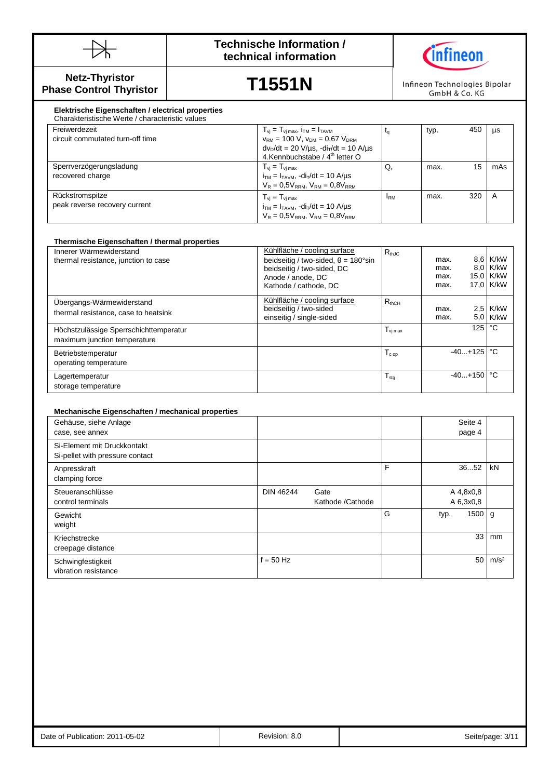



**Netz-Thyristor Phase Control Thyristor**

# **T1551N**

Infineon Technologies Bipolar GmbH & Co. KG

### Thermische Eigenschaften<br>circuit commutated turn-off time  $\frac{d}{dx} = \frac{1}{2}$  Mechanische /  $\frac{d}{dx}$  letter O **Elektrische Eigenschaften / electrical properties** Charakteristische Werte / characteristic values Freiwerdezeit  $T_{\rm vj} = T_{\rm vj \, max}$ ,  $i_{\rm TM} = I_{\rm TAVM}$  $v_{RM}$  = 100 V,  $v_{DM}$  = 0,67  $V_{DRM}$  $dv_{D}/dt = 20 \text{ V/}\mu\text{s}$ ,  $-di_{T}/dt = 10 \text{ A/}\mu\text{s}$  $t_q$  typ. 450 µs Sperrverzögerungsladung recovered charge  $T_{vj} = T_{vj \, max}$  $i_{TM} = I_{TAVM}$ ,  $di_T/dt = 10$  A/ $\mu$ s  $V_R = 0.5V_{RRM}$ ,  $V_{RM} = 0.8V_{RRM}$  $Q_r$  max. 15 mAs Rückstromspitze peak reverse recovery current  $T_{vj} = T_{vj \, max}$  $i_{TM} = I_{TAVM}$ ,  $-di_T/dt = 10$  A/ $\mu s$  $I_{\text{RM}}$  max. 320 A

| Innerer Wärmewiderstand<br>thermal resistance, junction to case        | Kühlfläche / cooling surface<br>beidseitig / two-sided, $\theta = 180^{\circ}$ sin<br>beidseitig / two-sided, DC<br>Anode / anode, DC<br>Kathode / cathode, DC | $R_{thJC}$          | max.<br>max.<br>max.<br>max. |           | 8.6 K/kW<br>8.0 K/kW<br>15,0 K/kW<br>17.0 K/kW |
|------------------------------------------------------------------------|----------------------------------------------------------------------------------------------------------------------------------------------------------------|---------------------|------------------------------|-----------|------------------------------------------------|
| Ubergangs-Wärmewiderstand<br>thermal resistance, case to heatsink      | Kühlfläche / cooling surface<br>beidseitig / two-sided<br>einseitig / single-sided                                                                             | $R_{thCH}$          | max.<br>max.                 |           | $2.5$ K/kW<br>5.0 K/kW                         |
| Höchstzulässige Sperrschichttemperatur<br>maximum junction temperature |                                                                                                                                                                | $T_{\text{vi max}}$ |                              | 125       | $^{\circ}$ C                                   |
| Betriebstemperatur<br>operating temperature                            |                                                                                                                                                                | $T_{cop}$           |                              | $-40+125$ | °C                                             |
| Lagertemperatur<br>storage temperature                                 |                                                                                                                                                                | $T_{\text{stg}}$    |                              | $-40+150$ | $^{\circ}$ C                                   |

 $V_R = 0.5V_{RRM}$ ,  $V_{RM} = 0.8V_{RRM}$ 

## **Mechanische Eigenschaften / mechanical properties**

| Gehäuse, siehe Anlage<br>case, see annex                       |                  |                          |   | Seite 4<br>page 4      |                  |
|----------------------------------------------------------------|------------------|--------------------------|---|------------------------|------------------|
| Si-Element mit Druckkontakt<br>Si-pellet with pressure contact |                  |                          |   |                        |                  |
| Anpresskraft<br>clamping force                                 |                  |                          | F | 3652                   | kN               |
| Steueranschlüsse<br>control terminals                          | <b>DIN 46244</b> | Gate<br>Kathode /Cathode |   | A 4,8x0,8<br>A 6,3x0,8 |                  |
| Gewicht<br>weight                                              |                  |                          | G | 1500<br>typ.           | g                |
| Kriechstrecke<br>creepage distance                             |                  |                          |   | 33                     | mm               |
| Schwingfestigkeit<br>vibration resistance                      | $f = 50$ Hz      |                          |   | 50                     | m/s <sup>2</sup> |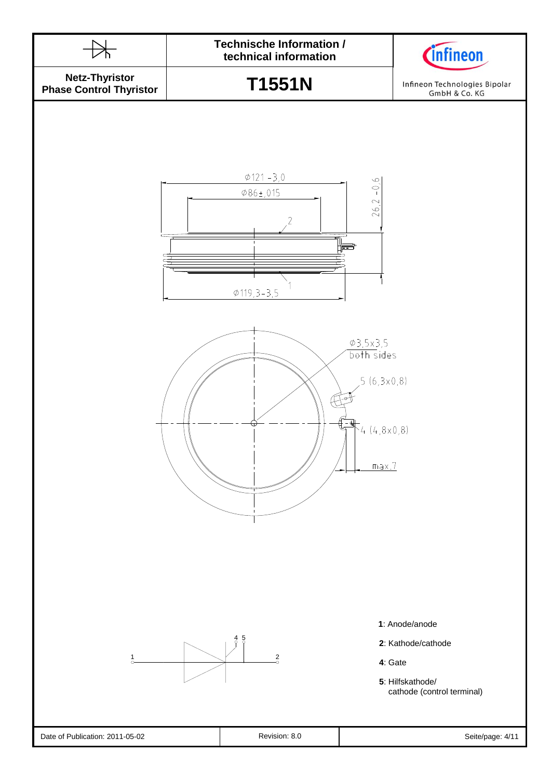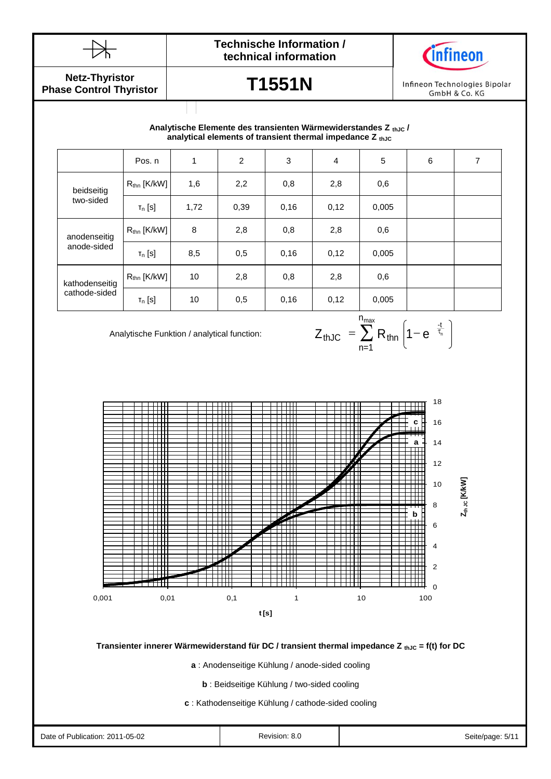



**Netz-Thyristor Phase Control Thyristor**

# **T1551N**

Infineon Technologies Bipolar GmbH & Co. KG

# **analytical elements of transient thermal impedance Z** thJC **Analytische Elemente des transienten Wärmewiderstandes Z thJC /**

|                | Pos. n                  | 1    | 2    | 3    | $\overline{4}$ | 5     | 6 | 7 |
|----------------|-------------------------|------|------|------|----------------|-------|---|---|
| beidseitig     | $R_{\text{thn}}$ [K/kW] | 1,6  | 2,2  | 0,8  | 2,8            | 0,6   |   |   |
| two-sided      | $T_n$ [S]               | 1,72 | 0,39 | 0,16 | 0,12           | 0,005 |   |   |
| anodenseitig   | $R_{\text{thn}}$ [K/kW] | 8    | 2,8  | 0,8  | 2,8            | 0,6   |   |   |
| anode-sided    | $T_n$ [S]               | 8,5  | 0,5  | 0,16 | 0,12           | 0,005 |   |   |
| kathodenseitig | $R_{\text{thn}}$ [K/kW] | 10   | 2,8  | 0,8  | 2,8            | 0,6   |   |   |
| cathode-sided  | $T_n$ [S]               | 10   | 0,5  | 0,16 | 0,12           | 0,005 |   |   |

Analytische Funktion / analytical function:

$$
Z_{thJC} = \sum_{n=1}^{n_{max}} R_{thn} \left( 1 - e^{-\frac{t}{\tau_n}} \right)
$$



# **Transienter innerer Wärmewiderstand für DC / transient thermal impedance Z thJC = f(t) for DC**

**a** : Anodenseitige Kühlung / anode-sided cooling

**b** : Beidseitige Kühlung / two-sided cooling

**c** : Kathodenseitige Kühlung / cathode-sided cooling

Date of Publication: 2011-05-02 **Revision: 8.0** Revision: 8.0 Seite/page: 5/11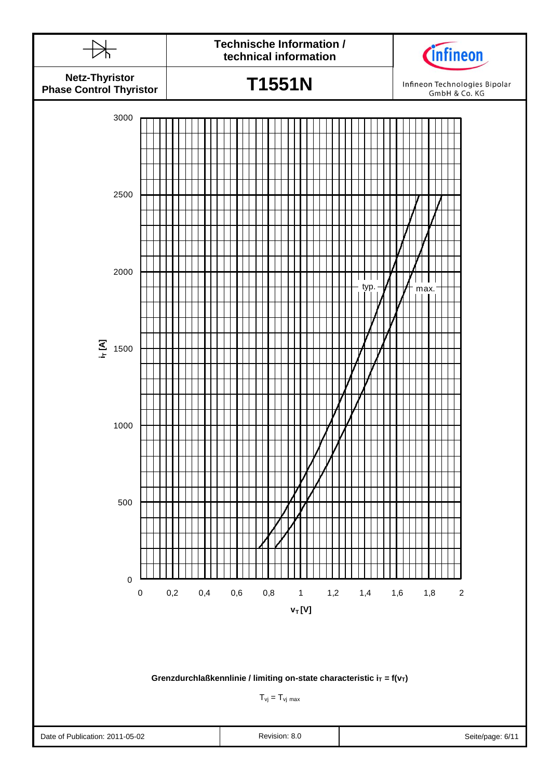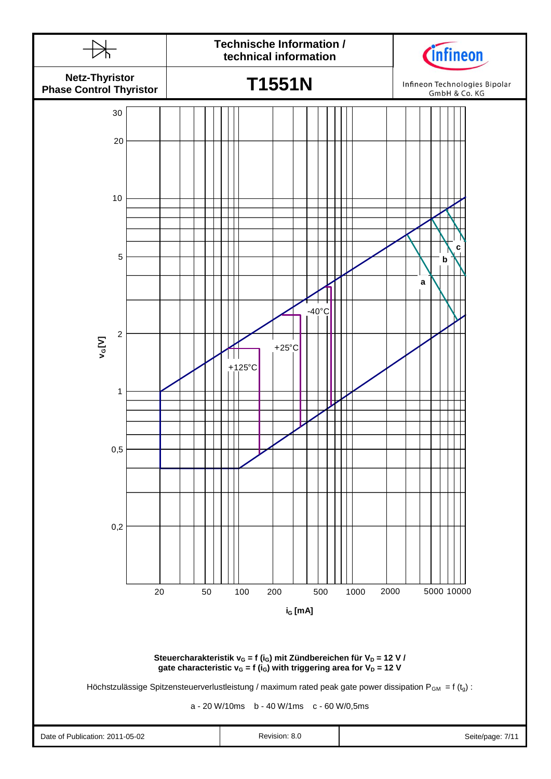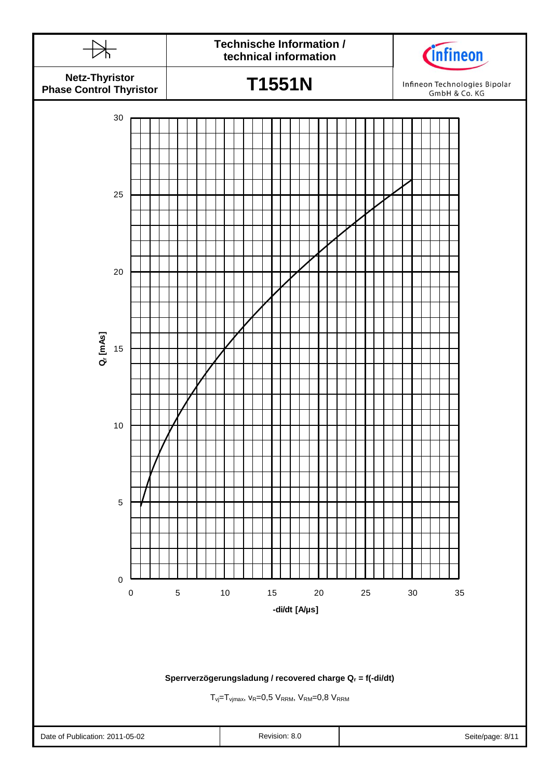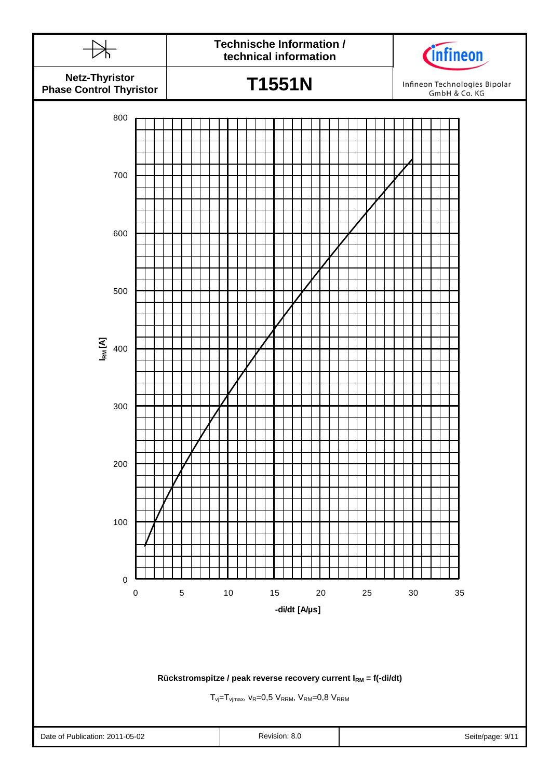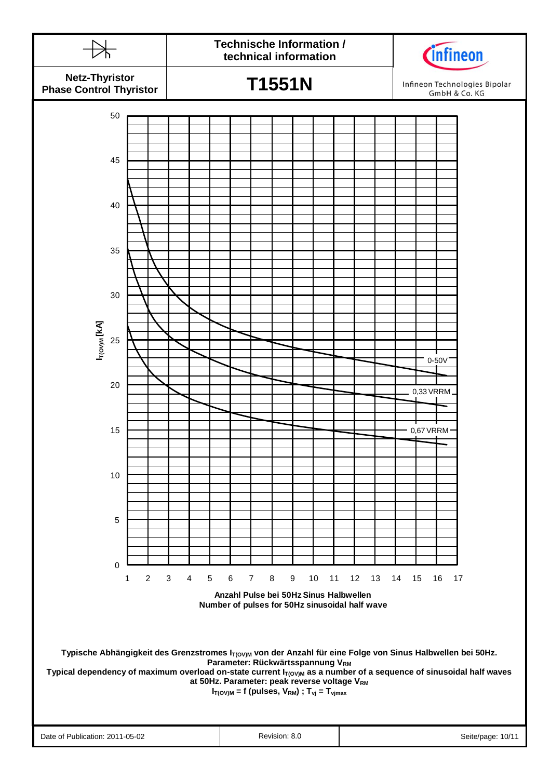